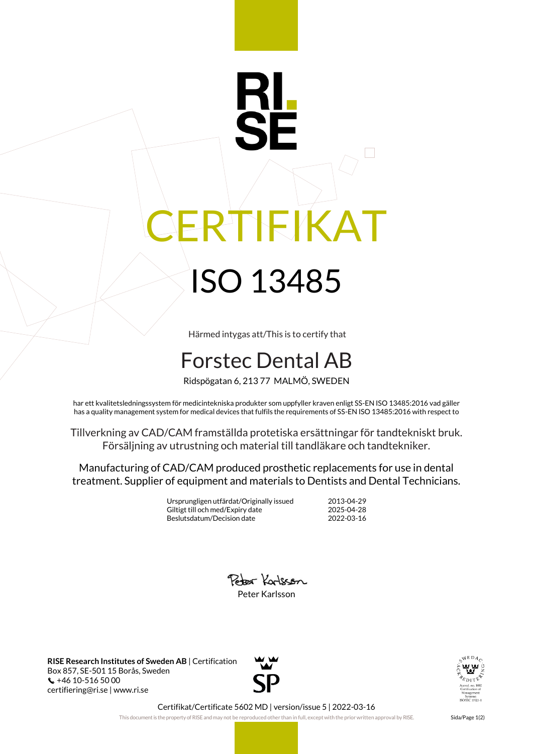## RTIFIKAT ISO 13485

Härmed intygas att/This is to certify that

## Forstec Dental AB

Ridspögatan 6, 213 77 MALMÖ, SWEDEN

har ett kvalitetsledningssystem för medicintekniska produkter som uppfyller kraven enligt SS-EN ISO 13485:2016 vad gäller has a quality management system for medical devices that fulfils the requirements of SS-EN ISO 13485:2016 with respect to

Tillverkning av CAD/CAM framställda protetiska ersättningar för tandtekniskt bruk. Försäljning av utrustning och material till tandläkare och tandtekniker.

Manufacturing of CAD/CAM produced prosthetic replacements for use in dental treatment. Supplier of equipment and materials to Dentists and Dental Technicians.

> Ursprungligen utfärdat/Originally issued 2013-04-29 Giltigt till och med/Expiry date 2025-04-28<br>Beslutsdatum/Decision date 2022-03-16 Beslutsdatum/Decision date



**RISE Research Institutes of Sweden AB** | Certification Box 857, SE-501 15 Borås, Sweden +46 10-516 50 00 certifiering@ri.se | www.ri.se





Certifikat/Certificate 5602 MD | version/issue 5 | 2022-03-16

This document is the property of RISE and may not be reproduced other than in full, except with the prior written approval by RISE. Sida/Page 1(2)